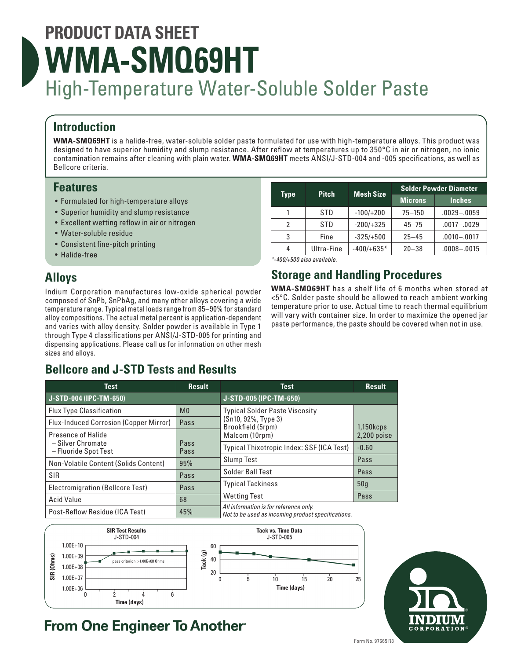# **PRODUCT DATA SHEET WMA-SMQ69HT** High-Temperature Water-Soluble Solder Paste

## **Introduction**

**WMA-SMQ69HT** is a halide-free, water-soluble solder paste formulated for use with high-temperature alloys. This product was designed to have superior humidity and slump resistance. After reflow at temperatures up to 350°C in air or nitrogen, no ionic contamination remains after cleaning with plain water. **WMA-SMQ69HT** meets ANSI/J-STD-004 and -005 specifications, as well as Bellcore criteria.

## **Features**

- Formulated for high-temperature alloys
- Superior humidity and slump resistance
- Excellent wetting reflow in air or nitrogen
- Water-soluble residue
- Consistent fine-pitch printing
- Halide-free

## **Alloys**

Indium Corporation manufactures low-oxide spherical powder composed of SnPb, SnPbAg, and many other alloys covering a wide temperature range. Typical metal loads range from 85–90% for standard alloy compositions. The actual metal percent is application-dependent and varies with alloy density. Solder powder is available in Type 1 through Type 4 classifications per ANSI/J-STD-005 for printing and dispensing applications. Please call us for information on other mesh sizes and alloys.

## **Bellcore and J-STD Tests and Results**

| <b>Type</b> | <b>Pitch</b> | <b>Mesh Size</b> | <b>Solder Powder Diameter</b> |                 |
|-------------|--------------|------------------|-------------------------------|-----------------|
|             |              |                  | <b>Microns</b>                | <b>Inches</b>   |
|             | STD          | $-100/+200$      | $75 - 150$                    | $.0029 - .0059$ |
| 2           | STD          | $-200/+325$      | $45 - 75$                     | $.0017 - .0029$ |
| 3           | Fine         | $-325/+500$      | $25 - 45$                     | $.0010 - .0017$ |
| 4           | Ultra-Fine   | $-400/+635*$     | $20 - 38$                     | $.0008 - .0015$ |

*\*-400/+500 also available.*

## **Storage and Handling Procedures**

**WMA-SMQ69HT** has a shelf life of 6 months when stored at <5°C. Solder paste should be allowed to reach ambient working temperature prior to use. Actual time to reach thermal equilibrium will vary with container size. In order to maximize the opened jar paste performance, the paste should be covered when not in use.

| <b>Test</b>                                   | <b>Result</b>  | <b>Test</b>                                                                                  | <b>Result</b>   |
|-----------------------------------------------|----------------|----------------------------------------------------------------------------------------------|-----------------|
| J-STD-004 (IPC-TM-650)                        |                | J-STD-005 (IPC-TM-650)                                                                       |                 |
| <b>Flux Type Classification</b>               | M <sub>0</sub> | <b>Typical Solder Paste Viscosity</b>                                                        |                 |
| <b>Flux-Induced Corrosion (Copper Mirror)</b> | Pass           | (Sn10, 92%, Type 3)<br>Brookfield (5rpm)                                                     | $1,150k$ cps    |
| Presence of Halide                            |                | Malcom (10rpm)                                                                               | 2,200 poise     |
| – Silver Chromate<br>- Fluoride Spot Test     | Pass<br>Pass   | Typical Thixotropic Index: SSF (ICA Test)                                                    | $-0.60$         |
| Non-Volatile Content (Solids Content)         | 95%            | <b>Slump Test</b>                                                                            | Pass            |
| <b>SIR</b>                                    | Pass           | Solder Ball Test                                                                             | Pass            |
| Electromigration (Bellcore Test)              | Pass           | <b>Typical Tackiness</b>                                                                     | 50 <sub>g</sub> |
| <b>Acid Value</b>                             | 68             | <b>Wetting Test</b>                                                                          | Pass            |
| Post-Reflow Residue (ICA Test)                | 45%            | All information is for reference only.<br>Not to be used as incoming product specifications. |                 |





## **From One Engineer To Another®**